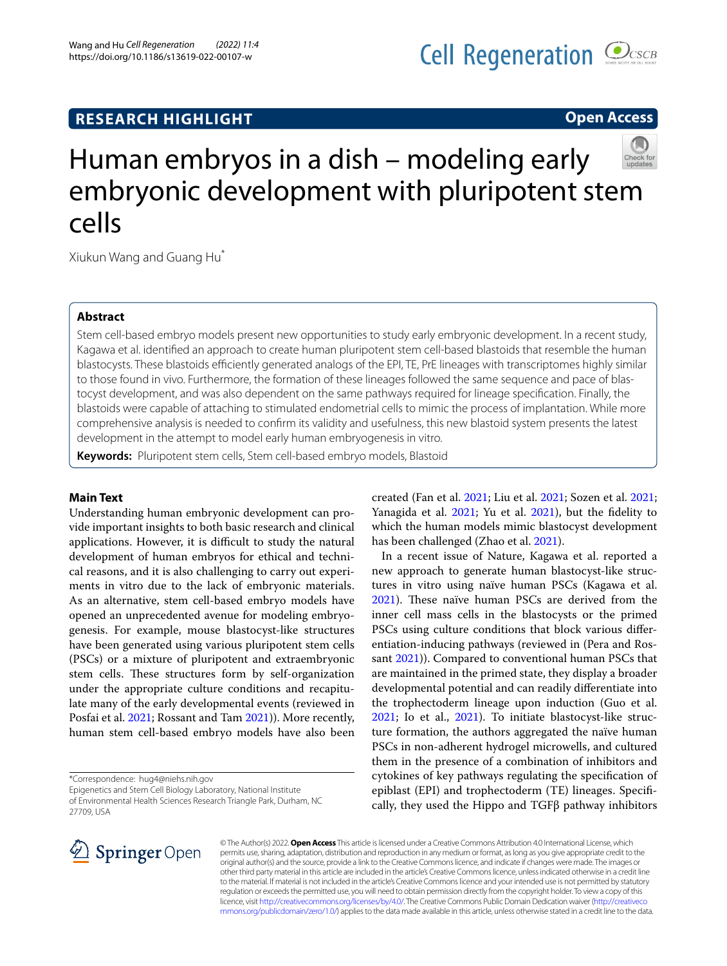# Wang and Hu *Cell Regeneration (2022) 11:4*  https://doi.org/10.1186/s13619-022-00107-w

# **Open Access**



Xiukun Wang and Guang Hu\*

## **Abstract**

Stem cell-based embryo models present new opportunities to study early embryonic development. In a recent study, Kagawa et al. identifed an approach to create human pluripotent stem cell-based blastoids that resemble the human blastocysts. These blastoids efficiently generated analogs of the EPI, TE, PrE lineages with transcriptomes highly similar to those found in vivo. Furthermore, the formation of these lineages followed the same sequence and pace of blastocyst development, and was also dependent on the same pathways required for lineage specifcation. Finally, the blastoids were capable of attaching to stimulated endometrial cells to mimic the process of implantation. While more comprehensive analysis is needed to confrm its validity and usefulness, this new blastoid system presents the latest development in the attempt to model early human embryogenesis in vitro.

**Keywords:** Pluripotent stem cells, Stem cell-based embryo models, Blastoid

## **Main Text**

Understanding human embryonic development can provide important insights to both basic research and clinical applications. However, it is difficult to study the natural development of human embryos for ethical and technical reasons, and it is also challenging to carry out experiments in vitro due to the lack of embryonic materials. As an alternative, stem cell-based embryo models have opened an unprecedented avenue for modeling embryogenesis. For example, mouse blastocyst-like structures have been generated using various pluripotent stem cells (PSCs) or a mixture of pluripotent and extraembryonic stem cells. These structures form by self-organization under the appropriate culture conditions and recapitulate many of the early developmental events (reviewed in Posfai et al. [2021](#page-3-0); Rossant and Tam [2021\)](#page-3-1)). More recently, human stem cell-based embryo models have also been

\*Correspondence: hug4@niehs.nih.gov

Epigenetics and Stem Cell Biology Laboratory, National Institute of Environmental Health Sciences Research Triangle Park, Durham, NC 27709, USA



created (Fan et al. [2021;](#page-2-0) Liu et al. [2021;](#page-2-1) Sozen et al. [2021](#page-3-2); Yanagida et al. [2021;](#page-3-3) Yu et al. [2021\)](#page-3-4), but the fidelity to which the human models mimic blastocyst development has been challenged (Zhao et al. [2021](#page-3-5)).

In a recent issue of Nature, Kagawa et al. reported a new approach to generate human blastocyst-like structures in vitro using naïve human PSCs (Kagawa et al. [2021](#page-2-2)). These naïve human PSCs are derived from the inner cell mass cells in the blastocysts or the primed PSCs using culture conditions that block various diferentiation-inducing pathways (reviewed in (Pera and Ros-sant [2021\)](#page-3-6)). Compared to conventional human PSCs that are maintained in the primed state, they display a broader developmental potential and can readily diferentiate into the trophectoderm lineage upon induction (Guo et al. [2021](#page-2-3); Io et al., [2021](#page-2-4)). To initiate blastocyst-like structure formation, the authors aggregated the naïve human PSCs in non-adherent hydrogel microwells, and cultured them in the presence of a combination of inhibitors and cytokines of key pathways regulating the specifcation of epiblast (EPI) and trophectoderm (TE) lineages. Specifcally, they used the Hippo and TGFβ pathway inhibitors

© The Author(s) 2022. **Open Access** This article is licensed under a Creative Commons Attribution 4.0 International License, which permits use, sharing, adaptation, distribution and reproduction in any medium or format, as long as you give appropriate credit to the original author(s) and the source, provide a link to the Creative Commons licence, and indicate if changes were made. The images or other third party material in this article are included in the article's Creative Commons licence, unless indicated otherwise in a credit line to the material. If material is not included in the article's Creative Commons licence and your intended use is not permitted by statutory regulation or exceeds the permitted use, you will need to obtain permission directly from the copyright holder. To view a copy of this licence, visit [http://creativecommons.org/licenses/by/4.0/.](http://creativecommons.org/licenses/by/4.0/) The Creative Commons Public Domain Dedication waiver ([http://creativeco](http://creativecommons.org/publicdomain/zero/1.0/) [mmons.org/publicdomain/zero/1.0/](http://creativecommons.org/publicdomain/zero/1.0/)) applies to the data made available in this article, unless otherwise stated in a credit line to the data.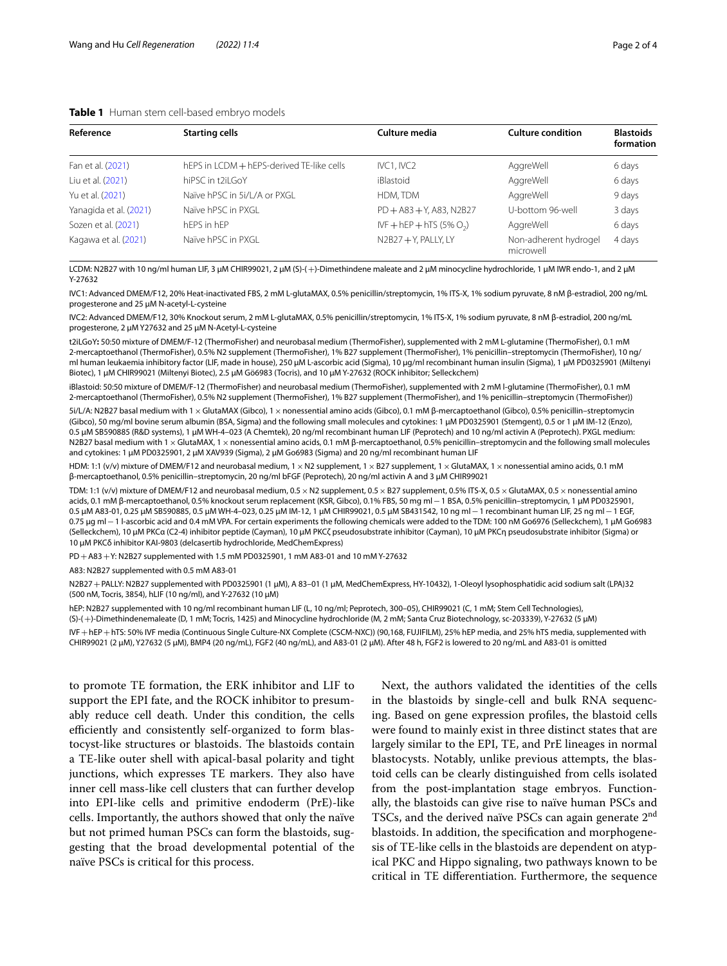## <span id="page-1-0"></span>**Table 1** Human stem cell-based embryo models

| Reference              | <b>Starting cells</b>        | Culture media               | <b>Culture condition</b>           | <b>Blastoids</b><br>formation |
|------------------------|------------------------------|-----------------------------|------------------------------------|-------------------------------|
|                        |                              |                             |                                    |                               |
| Liu et al. (2021)      | hiPSC in t2il GoY            | iBlastoid                   | AggreWell                          | 6 days                        |
| Yu et al. (2021)       | Naïve hPSC in 5i/L/A or PXGL | HDM, TDM                    | AggreWell                          | 9 days                        |
| Yanagida et al. (2021) | Naïve hPSC in PXGL           | $PD + A83 + Y$ , A83, N2B27 | U-bottom 96-well                   | 3 days                        |
| Sozen et al. (2021)    | hFPS in hFP                  | IVF + hEP + hTS (5% $O2$ )  | AggreWell                          | 6 days                        |
| Kagawa et al. (2021)   | Naïve hPSC in PXGL           | N2B27+Y, PALLY, LY          | Non-adherent hydrogel<br>microwell | 4 days                        |

LCDM: N2B27 with 10 ng/ml human LIF, 3 μM CHIR99021, 2 μM (S)-(+)-Dimethindene maleate and 2 μM minocycline hydrochloride, 1 μM IWR endo-1, and 2 μM Y-27632

IVC1: Advanced DMEM/F12, 20% Heat-inactivated FBS, 2 mM L-glutaMAX, 0.5% penicillin/streptomycin, 1% ITS-X, 1% sodium pyruvate, 8 nM β-estradiol, 200 ng/mL progesterone and 25 μM N-acetyl-L-cysteine

IVC2: Advanced DMEM/F12, 30% Knockout serum, 2 mM L-glutaMAX, 0.5% penicillin/streptomycin, 1% ITS-X, 1% sodium pyruvate, 8 nM β-estradiol, 200 ng/mL progesterone, 2 μM Y27632 and 25 μM N-Acetyl-L-cysteine

t2iLGoY**:** 50:50 mixture of DMEM/F-12 (ThermoFisher) and neurobasal medium (ThermoFisher), supplemented with 2 mM L-glutamine (ThermoFisher), 0.1 mM 2-mercaptoethanol (ThermoFisher), 0.5% N2 supplement (ThermoFisher), 1% B27 supplement (ThermoFisher), 1% penicillin–streptomycin (ThermoFisher), 10 ng/ ml human leukaemia inhibitory factor (LIF, made in house), 250 μM L-ascorbic acid (Sigma), 10 μg/ml recombinant human insulin (Sigma), 1 μM PD0325901 (Miltenyi Biotec), 1 μM CHIR99021 (Miltenyi Biotec), 2.5 μM Gö6983 (Tocris), and 10 μM Y-27632 (ROCK inhibitor; Selleckchem)

iBlastoid: 50:50 mixture of DMEM/F-12 (ThermoFisher) and neurobasal medium (ThermoFisher), supplemented with 2 mM l-glutamine (ThermoFisher), 0.1 mM 2-mercaptoethanol (ThermoFisher), 0.5% N2 supplement (ThermoFisher), 1% B27 supplement (ThermoFisher), and 1% penicillin–streptomycin (ThermoFisher))

5i/L/A: N2B27 basal medium with 1×GlutaMAX (Gibco), 1×nonessential amino acids (Gibco), 0.1 mM β-mercaptoethanol (Gibco), 0.5% penicillin–streptomycin (Gibco), 50 mg/ml bovine serum albumin (BSA, Sigma) and the following small molecules and cytokines: 1 μM PD0325901 (Stemgent), 0.5 or 1 μM IM-12 (Enzo), 0.5 μM SB590885 (R&D systems), 1 μM WH-4–023 (A Chemtek), 20 ng/ml recombinant human LIF (Peprotech) and 10 ng/ml activin A (Peprotech). PXGL medium: N2B27 basal medium with 1 x GlutaMAX, 1 x nonessential amino acids, 0.1 mM β-mercaptoethanol, 0.5% penicillin–streptomycin and the following small molecules and cytokines: 1 μM PD0325901, 2 μM XAV939 (Sigma), 2 μM Go6983 (Sigma) and 20 ng/ml recombinant human LIF

HDM: 1:1 (v/v) mixture of DMEM/F12 and neurobasal medium, 1 × N2 supplement, 1 × B27 supplement, 1 × GlutaMAX, 1 × nonessential amino acids, 0.1 mM β-mercaptoethanol, 0.5% penicillin–streptomycin, 20 ng/ml bFGF (Peprotech), 20 ng/ml activin A and 3 μM CHIR99021

TDM: 1:1 (v/v) mixture of DMEM/F12 and neurobasal medium, 0.5×N2 supplement, 0.5×B27 supplement, 0.5% ITS-X, 0.5×GlutaMAX, 0.5×nonessential amino acids, 0.1 mM β-mercaptoethanol, 0.5% knockout serum replacement (KSR, Gibco), 0.1% FBS, 50 mg ml−1 BSA, 0.5% penicillin–streptomycin, 1 μM PD0325901, 0.5 μM A83-01, 0.25 μM SB590885, 0.5 μM WH-4–023, 0.25 μM IM-12, 1 μM CHIR99021, 0.5 μM SB431542, 10 ng ml−1 recombinant human LIF, 25 ng ml−1 EGF, 0.75 μg ml−1 l-ascorbic acid and 0.4 mM VPA. For certain experiments the following chemicals were added to the TDM: 100 nM Go6976 (Selleckchem), 1 μM Go6983 (Selleckchem), 10 μM PKCα (C2-4) inhibitor peptide (Cayman), 10 μM PKCζ pseudosubstrate inhibitor (Cayman), 10 μM PKCη pseudosubstrate inhibitor (Sigma) or 10 μM PKCδ inhibitor KAI-9803 (delcasertib hydrochloride, MedChemExpress)

PD+A83+Y: N2B27 supplemented with 1.5 mM PD0325901, 1 mM A83-01 and 10 mM Y-27632

A83: N2B27 supplemented with 0.5 mM A83-01

N2B27+PALLY: N2B27 supplemented with PD0325901 (1 μM), A 83–01 (1 μM, MedChemExpress, HY-10432), 1-Oleoyl lysophosphatidic acid sodium salt (LPA)32 (500 nM, Tocris, 3854), hLIF (10 ng/ml), and Y-27632 (10 μM)

hEP: N2B27 supplemented with 10 ng/ml recombinant human LIF (L, 10 ng/ml; Peprotech, 300–05), CHIR99021 (C, 1 mM; Stem Cell Technologies), (S)-(+)-Dimethindenemaleate (D, 1 mM; Tocris, 1425) and Minocycline hydrochloride (M, 2 mM; Santa Cruz Biotechnology, sc-203339), Y-27632 (5 µM) IVF+hEP+hTS: 50% IVF media (Continuous Single Culture-NX Complete (CSCM-NXC)) (90,168, FUJIFILM), 25% hEP media, and 25% hTS media, supplemented with CHIR99021 (2 μM), Y27632 (5 μM), BMP4 (20 ng/mL), FGF2 (40 ng/mL), and A83-01 (2 μM). After 48 h, FGF2 is lowered to 20 ng/mL and A83-01 is omitted

to promote TE formation, the ERK inhibitor and LIF to support the EPI fate, and the ROCK inhibitor to presumably reduce cell death. Under this condition, the cells efficiently and consistently self-organized to form blastocyst-like structures or blastoids. The blastoids contain a TE-like outer shell with apical-basal polarity and tight junctions, which expresses TE markers. They also have inner cell mass-like cell clusters that can further develop into EPI-like cells and primitive endoderm (PrE)-like cells. Importantly, the authors showed that only the naïve but not primed human PSCs can form the blastoids, suggesting that the broad developmental potential of the naïve PSCs is critical for this process.

Next, the authors validated the identities of the cells in the blastoids by single-cell and bulk RNA sequencing. Based on gene expression profles, the blastoid cells were found to mainly exist in three distinct states that are largely similar to the EPI, TE, and PrE lineages in normal blastocysts. Notably, unlike previous attempts, the blastoid cells can be clearly distinguished from cells isolated from the post-implantation stage embryos. Functionally, the blastoids can give rise to naïve human PSCs and TSCs, and the derived naïve PSCs can again generate  $2<sup>nd</sup>$ blastoids. In addition, the specifcation and morphogenesis of TE-like cells in the blastoids are dependent on atypical PKC and Hippo signaling, two pathways known to be critical in TE diferentiation. Furthermore, the sequence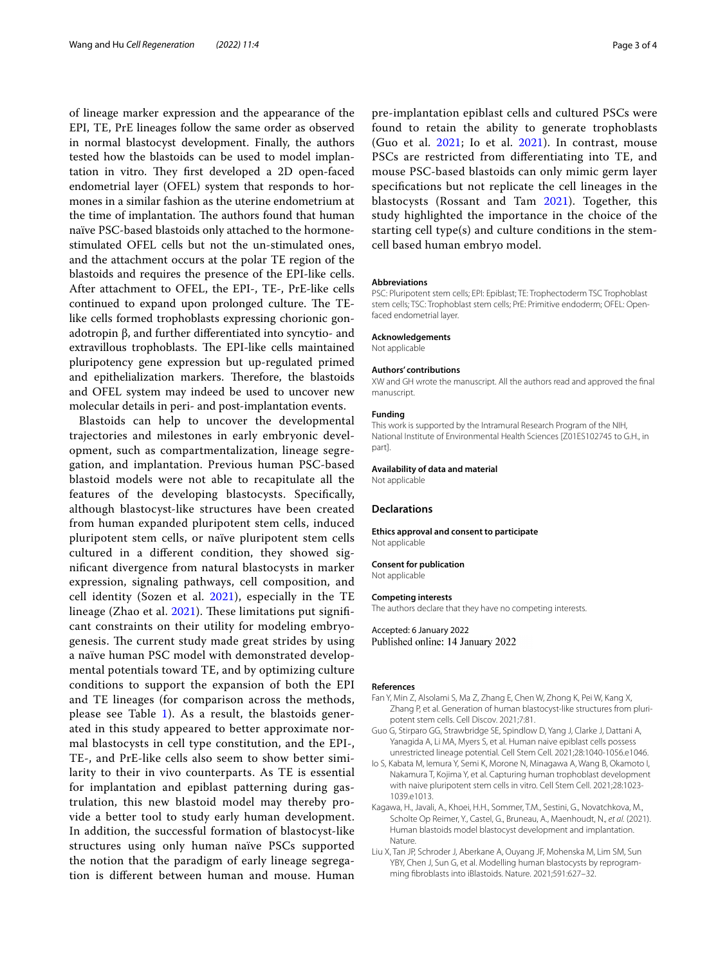of lineage marker expression and the appearance of the EPI, TE, PrE lineages follow the same order as observed in normal blastocyst development. Finally, the authors tested how the blastoids can be used to model implantation in vitro. They first developed a 2D open-faced endometrial layer (OFEL) system that responds to hormones in a similar fashion as the uterine endometrium at the time of implantation. The authors found that human naïve PSC-based blastoids only attached to the hormonestimulated OFEL cells but not the un-stimulated ones, and the attachment occurs at the polar TE region of the blastoids and requires the presence of the EPI-like cells. After attachment to OFEL, the EPI-, TE-, PrE-like cells continued to expand upon prolonged culture. The TElike cells formed trophoblasts expressing chorionic gonadotropin β, and further diferentiated into syncytio- and extravillous trophoblasts. The EPI-like cells maintained pluripotency gene expression but up-regulated primed and epithelialization markers. Therefore, the blastoids and OFEL system may indeed be used to uncover new molecular details in peri- and post-implantation events.

Blastoids can help to uncover the developmental trajectories and milestones in early embryonic development, such as compartmentalization, lineage segregation, and implantation. Previous human PSC-based blastoid models were not able to recapitulate all the features of the developing blastocysts. Specifcally, although blastocyst-like structures have been created from human expanded pluripotent stem cells, induced pluripotent stem cells, or naïve pluripotent stem cells cultured in a diferent condition, they showed signifcant divergence from natural blastocysts in marker expression, signaling pathways, cell composition, and cell identity (Sozen et al. [2021](#page-3-2)), especially in the TE lineage (Zhao et al.  $2021$ ). These limitations put significant constraints on their utility for modeling embryogenesis. The current study made great strides by using a naïve human PSC model with demonstrated developmental potentials toward TE, and by optimizing culture conditions to support the expansion of both the EPI and TE lineages (for comparison across the methods, please see Table  $1$ ). As a result, the blastoids generated in this study appeared to better approximate normal blastocysts in cell type constitution, and the EPI-, TE-, and PrE-like cells also seem to show better similarity to their in vivo counterparts. As TE is essential for implantation and epiblast patterning during gastrulation, this new blastoid model may thereby provide a better tool to study early human development. In addition, the successful formation of blastocyst-like structures using only human naïve PSCs supported the notion that the paradigm of early lineage segregation is diferent between human and mouse. Human pre-implantation epiblast cells and cultured PSCs were found to retain the ability to generate trophoblasts (Guo et al.  $2021$ ; Io et al.  $2021$ ). In contrast, mouse PSCs are restricted from diferentiating into TE, and mouse PSC-based blastoids can only mimic germ layer specifcations but not replicate the cell lineages in the blastocysts (Rossant and Tam [2021\)](#page-3-1). Together, this study highlighted the importance in the choice of the starting cell type(s) and culture conditions in the stemcell based human embryo model.

#### **Abbreviations**

PSC: Pluripotent stem cells; EPI: Epiblast; TE: Trophectoderm TSC Trophoblast stem cells; TSC: Trophoblast stem cells; PrE: Primitive endoderm; OFEL: Openfaced endometrial layer.

#### **Acknowledgements**

Not applicable

#### **Authors' contributions**

XW and GH wrote the manuscript. All the authors read and approved the fnal manuscript.

#### **Funding**

This work is supported by the Intramural Research Program of the NIH, National Institute of Environmental Health Sciences [Z01ES102745 to G.H., in part].

#### **Availability of data and material**

Not applicable

### **Declarations**

#### **Ethics approval and consent to participate** Not applicable

**Consent for publication** Not applicable

## **Competing interests**

The authors declare that they have no competing interests.

Accepted: 6 January 2022 Published online: 14 January 2022

### **References**

- <span id="page-2-0"></span>Fan Y, Min Z, Alsolami S, Ma Z, Zhang E, Chen W, Zhong K, Pei W, Kang X, Zhang P, et al. Generation of human blastocyst-like structures from pluripotent stem cells. Cell Discov. 2021;7:81.
- <span id="page-2-3"></span>Guo G, Stirparo GG, Strawbridge SE, Spindlow D, Yang J, Clarke J, Dattani A, Yanagida A, Li MA, Myers S, et al. Human naive epiblast cells possess unrestricted lineage potential. Cell Stem Cell. 2021;28:1040-1056.e1046.
- <span id="page-2-4"></span>Io S, Kabata M, Iemura Y, Semi K, Morone N, Minagawa A, Wang B, Okamoto I, Nakamura T, Kojima Y, et al. Capturing human trophoblast development with naive pluripotent stem cells in vitro. Cell Stem Cell. 2021;28:1023- 1039.e1013.
- <span id="page-2-2"></span>Kagawa, H., Javali, A., Khoei, H.H., Sommer, T.M., Sestini, G., Novatchkova, M., Scholte Op Reimer, Y., Castel, G., Bruneau, A., Maenhoudt, N.*, et al.* (2021). Human blastoids model blastocyst development and implantation. Nature.
- <span id="page-2-1"></span>Liu X, Tan JP, Schroder J, Aberkane A, Ouyang JF, Mohenska M, Lim SM, Sun YBY, Chen J, Sun G, et al. Modelling human blastocysts by reprogramming fbroblasts into iBlastoids. Nature. 2021;591:627–32.